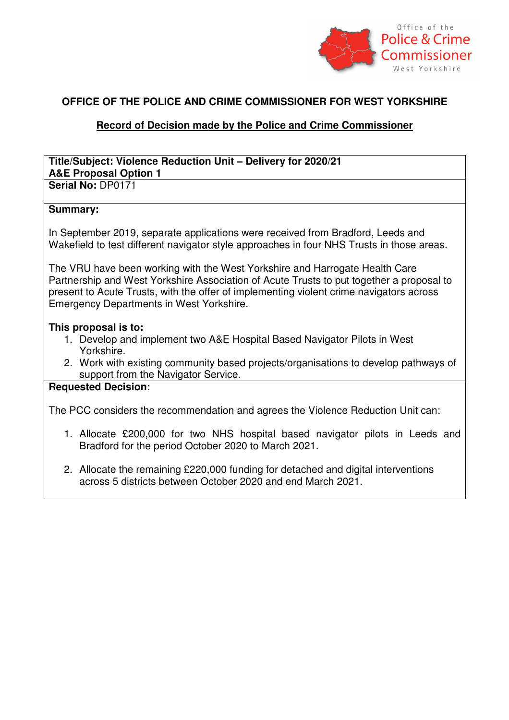

### **OFFICE OF THE POLICE AND CRIME COMMISSIONER FOR WEST YORKSHIRE**

## **Record of Decision made by the Police and Crime Commissioner**

#### **Title/Subject: Violence Reduction Unit – Delivery for 2020/21 A&E Proposal Option 1 Serial No:** DP0171

## **Summary:**

In September 2019, separate applications were received from Bradford, Leeds and Wakefield to test different navigator style approaches in four NHS Trusts in those areas.

The VRU have been working with the West Yorkshire and Harrogate Health Care Partnership and West Yorkshire Association of Acute Trusts to put together a proposal to present to Acute Trusts, with the offer of implementing violent crime navigators across Emergency Departments in West Yorkshire.

### **This proposal is to:**

- 1. Develop and implement two A&E Hospital Based Navigator Pilots in West Yorkshire.
- 2. Work with existing community based projects/organisations to develop pathways of support from the Navigator Service.

### **Requested Decision:**

The PCC considers the recommendation and agrees the Violence Reduction Unit can:

- 1. Allocate £200,000 for two NHS hospital based navigator pilots in Leeds and Bradford for the period October 2020 to March 2021.
- 2. Allocate the remaining £220,000 funding for detached and digital interventions across 5 districts between October 2020 and end March 2021.